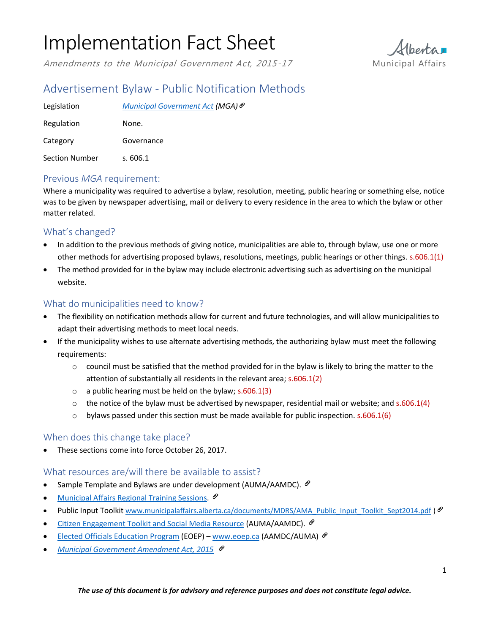# Implementation Fact Sheet

Amendments to the Municipal Government Act, 2015-17 Municipal Affairs



# Advertisement Bylaw - Public Notification Methods

| Legislation    | Municipal Government Act (MGA) <sup>⊗</sup> |
|----------------|---------------------------------------------|
| Regulation     | None.                                       |
| Category       | Governance                                  |
| Section Number | s.606.1                                     |

## Previous *MGA* requirement:

Where a municipality was required to advertise a bylaw, resolution, meeting, public hearing or something else, notice was to be given by newspaper advertising, mail or delivery to every residence in the area to which the bylaw or other matter related.

## What's changed?

- In addition to the previous methods of giving notice, municipalities are able to, through bylaw, use one or more other methods for advertising proposed bylaws, resolutions, meetings, public hearings or other things. s.606.1(1)
- The method provided for in the bylaw may include electronic advertising such as advertising on the municipal website.

#### What do municipalities need to know?

- The flexibility on notification methods allow for current and future technologies, and will allow municipalities to adapt their advertising methods to meet local needs.
- If the municipality wishes to use alternate advertising methods, the authorizing bylaw must meet the following requirements:
	- $\circ$  council must be satisfied that the method provided for in the bylaw is likely to bring the matter to the attention of substantially all residents in the relevant area; s.606.1(2)
	- $\circ$  a public hearing must be held on the bylaw; s.606.1(3)
	- $\circ$  the notice of the bylaw must be advertised by newspaper, residential mail or website; and s.606.1(4)
	- $\circ$  bylaws passed under this section must be made available for public inspection. s.606.1(6)

## When does this change take place?

These sections come into force October 26, 2017.

#### What resources are/will there be available to assist?

- Sample Template and Bylaws are under development (AUMA/AAMDC).  $\mathcal{P}$
- [Municipal Affairs Regional Training Sessions](http://www.municipalaffairs.alberta.ca/online-event-registration?fuseaction=EventRegistration&EVENT_ID=181).  $\mathscr{P}$
- Public Input Toolkit [www.municipalaffairs.alberta.ca/documents/MDRS/AMA\\_Public\\_Input\\_Toolkit\\_Sept2014.pdf](http://www.municipalaffairs.alberta.ca/documents/MDRS/AMA_Public_Input_Toolkit_Sept2014.pdf) )  $\mathcal{P}$
- [Citizen Engagement Toolkit and Social Media Resource](https://auma.ca/advocacy-services/programs-initiatives/citizen-engagement-toolkit-social-media-resource-guide) (AUMA/AAMDC).  $\mathscr O$
- [Elected Officials Education Program](http://eoep.ca/home) (EOEP) [www.eoep.ca](http://www.eoep.ca/) (AAMDC/AUMA)  $\mathscr P$
- *[Municipal Government Amendment Act, 2015](http://www.assembly.ab.ca/ISYS/LADDAR_files/docs/bills/bill/legislature_28/session_3/20141117_bill-020.pdf)*